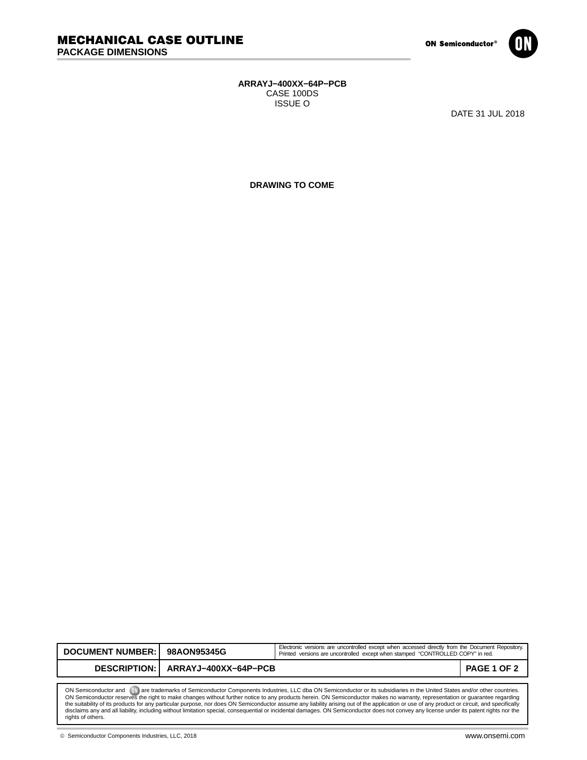

## **ARRAYJ−400XX−64P−PCB** CASE 100DS ISSUE O

DATE 31 JUL 2018

**DRAWING TO COME**

| DOCUMENT NUMBER: 98AON95345G                                                                                                                                             |                                     | Electronic versions are uncontrolled except when accessed directly from the Document Repository.<br>Printed versions are uncontrolled except when stamped "CONTROLLED COPY" in red. |             |  |
|--------------------------------------------------------------------------------------------------------------------------------------------------------------------------|-------------------------------------|-------------------------------------------------------------------------------------------------------------------------------------------------------------------------------------|-------------|--|
|                                                                                                                                                                          | DESCRIPTION:   ARRAYJ-400XX-64P-PCB |                                                                                                                                                                                     | PAGE 1 OF 2 |  |
|                                                                                                                                                                          |                                     |                                                                                                                                                                                     |             |  |
| are trademarks of Semiconductor Components Industries, LLC dba ON Semiconductor or its subsidiaries in the United States and/or other countries.<br>ON Semiconductor and |                                     |                                                                                                                                                                                     |             |  |

ON Semiconductor and (Will are trademarks of Semiconductor Components Industries, LLC dba ON Semiconductor or its subsidiaries in the United States and/or other countries.<br>ON Semiconductor reserves the right to make change